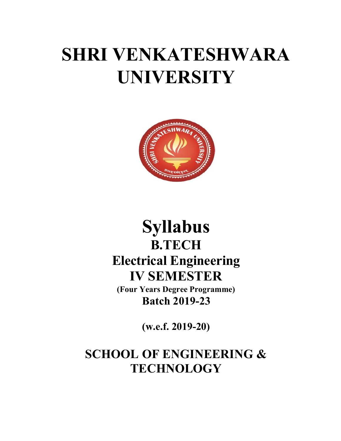# SHRI VENKATESHWARA UNIVERSITY



# Syllabus B.TECH Electrical Engineering IV SEMESTER

(Four Years Degree Programme) Batch 2019-23

(w.e.f. 2019-20)

SCHOOL OF ENGINEERING & **TECHNOLOGY**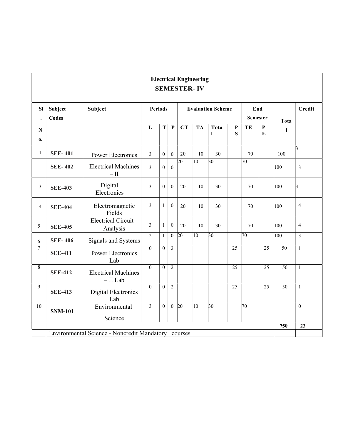# Electrical Engineering SEMESTER- IV

| SI<br>$\bullet$             | Subject<br>Codes | <b>Subject</b>                                      |                | <b>Periods</b>   |                  |                  |              | <b>Evaluation Scheme</b> |                 |    | End<br><b>Semester</b> | Tota            | <b>Credit</b>  |
|-----------------------------|------------------|-----------------------------------------------------|----------------|------------------|------------------|------------------|--------------|--------------------------|-----------------|----|------------------------|-----------------|----------------|
| $\mathbf N$<br>$\mathbf{0}$ |                  |                                                     | ${\bf L}$      | $\mathbf T$      | $\mathbf{P}$     | CT               | <b>TA</b>    | Tota<br>$\mathbf{l}$     | P<br>S          | TE | ${\bf P}$<br>${\bf E}$ | 1               |                |
| $\mathbf{1}$                | <b>SEE-401</b>   | Power Electronics                                   | $\overline{3}$ | $\boldsymbol{0}$ | $\mathbf{0}$     | 20               | 10           | 30                       |                 | 70 |                        | 100             | $\vert$ 3      |
|                             | <b>SEE-402</b>   | <b>Electrical Machines</b><br>$- \, \mathrm{II}$    | $\overline{3}$ | $\boldsymbol{0}$ | $\overline{0}$   | 20               | $ 10\rangle$ | $ 30\rangle$             |                 | 70 |                        | 100             | 3              |
| $\mathfrak{Z}$              | <b>SEE-403</b>   | Digital<br>Electronics                              | $\overline{3}$ | $\boldsymbol{0}$ | $\overline{0}$   | 20               | 10           | 30                       |                 | 70 |                        | 100             | 13             |
| $\overline{4}$              | <b>SEE-404</b>   | Electromagnetic<br>Fields                           | $\overline{3}$ | $\mathbf{1}$     | $\boldsymbol{0}$ | 20               | 10           | 30                       |                 | 70 |                        | 100             | $\overline{4}$ |
| 5                           | <b>SEE-405</b>   | <b>Electrical Circuit</b><br>Analysis               | $\overline{3}$ | $\mathbf{1}$     | $\overline{0}$   | 20               | 10           | 30                       |                 | 70 |                        | 100             | $\overline{4}$ |
| 6                           | <b>SEE-406</b>   | Signals and Systems                                 | $\overline{2}$ | $\mathbf{1}$     |                  | $0\;\;20$        | 10           | 30                       |                 | 70 |                        | 100             | $\overline{3}$ |
| $\tau$                      | <b>SEE-411</b>   | Power Electronics<br>Lab                            | $\Omega$       | $\overline{0}$   | $\overline{2}$   |                  |              |                          | 25              |    | $\overline{25}$        | $\overline{50}$ | $\mathbf{1}$   |
| 8                           | <b>SEE-412</b>   | <b>Electrical Machines</b><br>$-$ II Lab            | $\theta$       | $\boldsymbol{0}$ | $\overline{2}$   |                  |              |                          | $\overline{25}$ |    | $\overline{25}$        | 50              | $\mathbf{1}$   |
| 9                           | <b>SEE-413</b>   | Digital Electronics<br>Lab                          | $\theta$       | $\overline{0}$   | $\overline{2}$   |                  |              |                          | $\overline{25}$ |    | $\overline{25}$        | 50              | $\mathbf{1}$   |
| 10                          | <b>SNM-101</b>   | Environmental<br>Science                            | $\overline{3}$ | $\overline{0}$   |                  | $0\overline{20}$ | $ 10\rangle$ | $\overline{30}$          |                 | 70 |                        |                 | $\theta$       |
|                             |                  |                                                     |                |                  |                  |                  |              |                          |                 |    |                        | 750             | 23             |
|                             |                  | Environmental Science - Noncredit Mandatory courses |                |                  |                  |                  |              |                          |                 |    |                        |                 |                |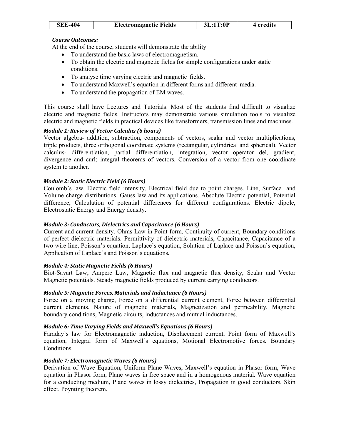| <b>SEE-404</b> | <b>Electromagnetic Fields</b> | 3L:1T:0P | 4 credits |
|----------------|-------------------------------|----------|-----------|
|                |                               |          |           |

At the end of the course, students will demonstrate the ability

- To understand the basic laws of electromagnetism.
- To obtain the electric and magnetic fields for simple configurations under static conditions.
- To analyse time varying electric and magnetic fields.
- To understand Maxwell's equation in different forms and different media.
- To understand the propagation of EM waves.

This course shall have Lectures and Tutorials. Most of the students find difficult to visualize electric and magnetic fields. Instructors may demonstrate various simulation tools to visualize electric and magnetic fields in practical devices like transformers, transmission lines and machines.

# Module 1: Review of Vector Calculus (6 hours)

Vector algebra- addition, subtraction, components of vectors, scalar and vector multiplications, triple products, three orthogonal coordinate systems (rectangular, cylindrical and spherical). Vector calculus- differentiation, partial differentiation, integration, vector operator del, gradient, divergence and curl; integral theorems of vectors. Conversion of a vector from one coordinate system to another.

#### Module 2: Static Electric Field (6 Hours)

Coulomb's law, Electric field intensity, Electrical field due to point charges. Line, Surface and Volume charge distributions. Gauss law and its applications. Absolute Electric potential, Potential difference, Calculation of potential differences for different configurations. Electric dipole, Electrostatic Energy and Energy density.

#### Module 3: Conductors, Dielectrics and Capacitance (6 Hours)

Current and current density, Ohms Law in Point form, Continuity of current, Boundary conditions of perfect dielectric materials. Permittivity of dielectric materials, Capacitance, Capacitance of a two wire line, Poisson's equation, Laplace's equation, Solution of Laplace and Poisson's equation, Application of Laplace's and Poisson's equations.

#### Module 4: Static Magnetic Fields (6 Hours)

Biot-Savart Law, Ampere Law, Magnetic flux and magnetic flux density, Scalar and Vector Magnetic potentials. Steady magnetic fields produced by current carrying conductors.

#### Module 5: Magnetic Forces, Materials and Inductance (6 Hours)

Force on a moving charge, Force on a differential current element, Force between differential current elements, Nature of magnetic materials, Magnetization and permeability, Magnetic boundary conditions, Magnetic circuits, inductances and mutual inductances.

#### Module 6: Time Varying Fields and Maxwell's Equations (6 Hours)

Faraday's law for Electromagnetic induction, Displacement current, Point form of Maxwell's equation, Integral form of Maxwell's equations, Motional Electromotive forces. Boundary Conditions.

# Module 7: Electromagnetic Waves (6 Hours)

Derivation of Wave Equation, Uniform Plane Waves, Maxwell's equation in Phasor form, Wave equation in Phasor form, Plane waves in free space and in a homogenous material. Wave equation for a conducting medium, Plane waves in lossy dielectrics, Propagation in good conductors, Skin effect. Poynting theorem.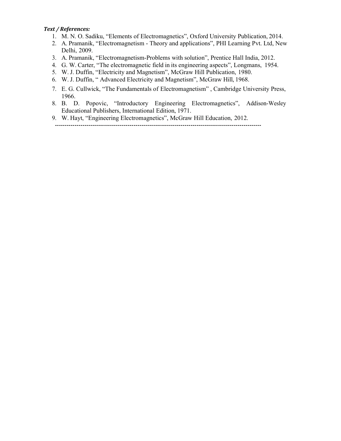#### Text / References:

- 1. M. N. O. Sadiku, "Elements of Electromagnetics", Oxford University Publication, 2014.
- 2. A. Pramanik, "Electromagnetism Theory and applications", PHI Learning Pvt. Ltd, New Delhi, 2009.
- 3. A. Pramanik, "Electromagnetism-Problems with solution", Prentice Hall India, 2012.
- 4. G. W. Carter, "The electromagnetic field in its engineering aspects", Longmans, 1954.
- 5. W. J. Duffin, "Electricity and Magnetism", McGraw Hill Publication, 1980.
- 6. W. J. Duffin, " Advanced Electricity and Magnetism", McGraw Hill, 1968.
- 7. E. G. Cullwick, "The Fundamentals of Electromagnetism" , Cambridge University Press, 1966.
- 8. B. D. Popovic, "Introductory Engineering Electromagnetics", Addison-Wesley Educational Publishers, International Edition, 1971.
- 9. W. Hayt, "Engineering Electromagnetics", McGraw Hill Education, 2012. ---------------------------------------------------------------------------------------------------------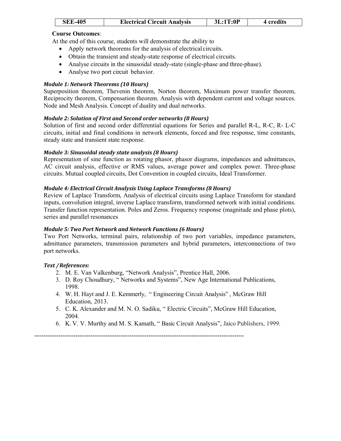| <b>SEE-405</b> | <b>Electrical Circuit Analysis</b> | 3L:1T:0P | 4 credits |
|----------------|------------------------------------|----------|-----------|
|----------------|------------------------------------|----------|-----------|

At the end of this course, students will demonstrate the ability to

- Apply network theorems for the analysis of electrical circuits.
- Obtain the transient and steady-state response of electrical circuits.
- Analyse circuits in the sinusoidal steady-state (single-phase and three-phase).
- Analyse two port circuit behavior.

# Module 1: Network Theorems (10 Hours)

Superposition theorem, Thevenin theorem, Norton theorem, Maximum power transfer theorem, Reciprocity theorem, Compensation theorem. Analysis with dependent current and voltage sources. Node and Mesh Analysis. Concept of duality and dual networks.

# Module 2: Solution of First and Second order networks (8 Hours)

Solution of first and second order differential equations for Series and parallel R-L, R-C, R- L-C circuits, initial and final conditions in network elements, forced and free response, time constants, steady state and transient state response.

# Module 3: Sinusoidal steady state analysis (8 Hours)

Representation of sine function as rotating phasor, phasor diagrams, impedances and admittances, AC circuit analysis, effective or RMS values, average power and complex power. Three-phase circuits. Mutual coupled circuits, Dot Convention in coupled circuits, Ideal Transformer.

# Module 4: Electrical Circuit Analysis Using Laplace Transforms (8 Hours)

Review of Laplace Transform, Analysis of electrical circuits using Laplace Transform for standard inputs, convolution integral, inverse Laplace transform, transformed network with initial conditions. Transfer function representation. Poles and Zeros. Frequency response (magnitude and phase plots), series and parallel resonances

# Module 5: Two Port Network and Network Functions (6 Hours)

Two Port Networks, terminal pairs, relationship of two port variables, impedance parameters, admittance parameters, transmission parameters and hybrid parameters, interconnections of two port networks.

# Text / References:

- 2. M. E. Van Valkenburg, "Network Analysis", Prentice Hall, 2006.
- 3. D. Roy Choudhury, " Networks and Systems", New Age International Publications, 1998.
- 4. W. H. Hayt and J. E. Kemmerly, " Engineering Circuit Analysis" , McGraw Hill Education, 2013.
- 5. C. K. Alexander and M. N. O. Sadiku, " Electric Circuits", McGraw Hill Education, 2004.
- 6. K. V. V. Murthy and M. S. Kamath, " Basic Circuit Analysis", Jaico Publishers, 1999.

----------------------------------------------------------------------------------------------------------------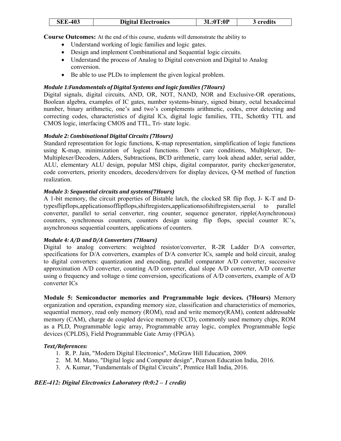| <b>SEE-403</b> | <b>Digital Electronics</b> | 3L:0T:0P | 3 credits |
|----------------|----------------------------|----------|-----------|
|                |                            |          |           |

Course Outcomes: At the end of this course, students will demonstrate the ability to

- Understand working of logic families and logic gates.
- Design and implement Combinational and Sequential logic circuits.
- Understand the process of Analog to Digital conversion and Digital to Analog conversion.
- Be able to use PLDs to implement the given logical problem.

# Module 1:Fundamentals of Digital Systems and logic families (7Hours)

Digital signals, digital circuits, AND, OR, NOT, NAND, NOR and Exclusive-OR operations, Boolean algebra, examples of IC gates, number systems-binary, signed binary, octal hexadecimal number, binary arithmetic, one's and two's complements arithmetic, codes, error detecting and correcting codes, characteristics of digital lCs, digital logic families, TTL, Schottky TTL and CMOS logic, interfacing CMOS and TTL, Tri- state logic.

# Module 2: Combinational Digital Circuits (7Hours)

Standard representation for logic functions, K-map representation, simplification of logic functions using K-map, minimization of logical functions. Don't care conditions, Multiplexer, De-Multiplexer/Decoders, Adders, Subtractions, BCD arithmetic, carry look ahead adder, serial adder, ALU, elementary ALU design, popular MSI chips, digital comparator, parity checker/generator, code converters, priority encoders, decoders/drivers for display devices, Q-M method of function realization.

# Module 3: Sequential circuits and systems(7Hours)

A 1-bit memory, the circuit properties of Bistable latch, the clocked SR flip flop, J- K-T and Dtypesflipflops,applicationsofflipflops,shiftregisters,applicationsofshiftregisters,serial to parallel converter, parallel to serial converter, ring counter, sequence generator, ripple(Asynchronous) counters, synchronous counters, counters design using flip flops, special counter IC's, asynchronous sequential counters, applications of counters.

# Module 4: A/D and D/A Converters (7Hours)

Digital to analog converters: weighted resistor/converter, R-2R Ladder D/A converter, specifications for D/A converters, examples of D/A converter ICs, sample and hold circuit, analog to digital converters: quantization and encoding, parallel comparator A/D converter, successive approximation A/D converter, counting A/D converter, dual slope A/D converter, A/D converter using o frequency and voltage o time conversion, specifications of A/D converters, example of A/D converter ICs

Module 5: Semiconductor memories and Programmable logic devices. (7Hours) Memory organization and operation, expanding memory size, classification and characteristics of memories, sequential memory, read only memory (ROM), read and write memory(RAM), content addressable memory (CAM), charge de coupled device memory (CCD), commonly used memory chips, ROM as a PLD, Programmable logic array, Programmable array logic, complex Programmable logic devices (CPLDS), Field Programmable Gate Array (FPGA).

# Text/References:

- 1. R. P. Jain, "Modern Digital Electronics", McGraw Hill Education, 2009.
- 2. M. M. Mano, "Digital logic and Computer design", Pearson Education India, 2016.
- 3. A. Kumar, "Fundamentals of Digital Circuits", Prentice Hall India, 2016.

# BEE-412: Digital Electronics Laboratory (0:0:2 – 1 credit)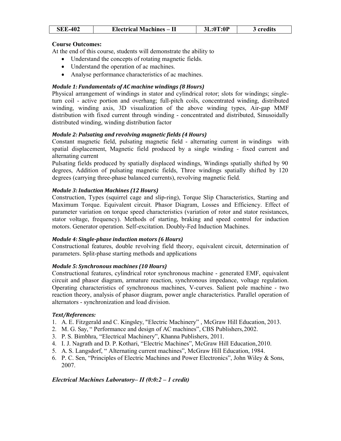| <b>SEE-402</b> | <b>Electrical Machines – II</b> | 3L:0T:0P | 3 credits |  |
|----------------|---------------------------------|----------|-----------|--|
|                |                                 |          |           |  |

At the end of this course, students will demonstrate the ability to

- Understand the concepts of rotating magnetic fields.
- Understand the operation of ac machines.
- Analyse performance characteristics of ac machines.

# Module 1: Fundamentals of AC machine windings (8 Hours)

Physical arrangement of windings in stator and cylindrical rotor; slots for windings; singleturn coil - active portion and overhang; full-pitch coils, concentrated winding, distributed winding, winding axis, 3D visualization of the above winding types, Air-gap MMF distribution with fixed current through winding - concentrated and distributed, Sinusoidally distributed winding, winding distribution factor

# Module 2: Pulsating and revolving magnetic fields (4 Hours)

Constant magnetic field, pulsating magnetic field - alternating current in windings with spatial displacement, Magnetic field produced by a single winding - fixed current and alternating current

Pulsating fields produced by spatially displaced windings, Windings spatially shifted by 90 degrees, Addition of pulsating magnetic fields, Three windings spatially shifted by 120 degrees (carrying three-phase balanced currents), revolving magnetic field.

# Module 3: Induction Machines (12 Hours)

Construction, Types (squirrel cage and slip-ring), Torque Slip Characteristics, Starting and Maximum Torque. Equivalent circuit. Phasor Diagram, Losses and Efficiency. Effect of parameter variation on torque speed characteristics (variation of rotor and stator resistances, stator voltage, frequency). Methods of starting, braking and speed control for induction motors. Generator operation. Self-excitation. Doubly-Fed Induction Machines.

# Module 4: Single-phase induction motors (6 Hours)

Constructional features, double revolving field theory, equivalent circuit, determination of parameters. Split-phase starting methods and applications

# Module 5: Synchronous machines (10 Hours)

Constructional features, cylindrical rotor synchronous machine - generated EMF, equivalent circuit and phasor diagram, armature reaction, synchronous impedance, voltage regulation. Operating characteristics of synchronous machines, V-curves. Salient pole machine - two reaction theory, analysis of phasor diagram, power angle characteristics. Parallel operation of alternators - synchronization and load division.

# Text/References:

- 1. A. E. Fitzgerald and C. Kingsley, "Electric Machinery" , McGraw Hill Education, 2013.
- 2. M. G. Say, " Performance and design of AC machines", CBS Publishers, 2002.
- 3. P. S. Bimbhra, "Electrical Machinery", Khanna Publishers, 2011.
- 4. I. J. Nagrath and D. P. Kothari, "Electric Machines", McGraw Hill Education, 2010.
- 5. A. S. Langsdorf, " Alternating current machines", McGraw Hill Education, 1984.
- 6. P. C. Sen, "Principles of Electric Machines and Power Electronics", John Wiley & Sons, 2007.

# Electrical Machines Laboratory– II (0:0:2 – 1 credit)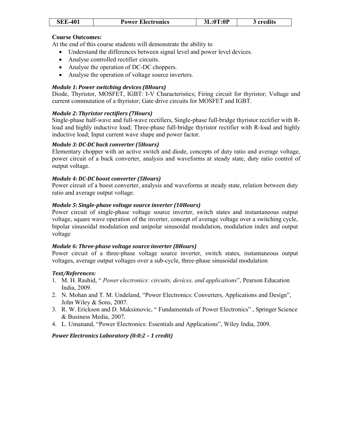| <b>SEE-401</b> | <b>Power Electronics</b> | 3L:0T:0P | 3 credits |
|----------------|--------------------------|----------|-----------|
|                |                          |          |           |

At the end of this course students will demonstrate the ability to

- Understand the differences between signal level and power level devices.
- Analyse controlled rectifier circuits.
- Analyse the operation of DC-DC choppers.
- Analyse the operation of voltage source inverters.

# Module 1: Power switching devices (8Hours)

Diode, Thyristor, MOSFET, IGBT: I-V Characteristics; Firing circuit for thyristor; Voltage and current commutation of a thyristor; Gate drive circuits for MOSFET and IGBT.

# Module 2: Thyristor rectifiers (7Hours)

Single-phase half-wave and full-wave rectifiers, Single-phase full-bridge thyristor rectifier with Rload and highly inductive load; Three-phase full-bridge thyristor rectifier with R-load and highly inductive load; Input current wave shape and power factor.

#### Module 3: DC-DC buck converter (5Hours)

Elementary chopper with an active switch and diode, concepts of duty ratio and average voltage, power circuit of a buck converter, analysis and waveforms at steady state, duty ratio control of output voltage.

#### Module 4: DC-DC boost converter (5Hours)

Power circuit of a boost converter, analysis and waveforms at steady state, relation between duty ratio and average output voltage.

# Module 5: Single-phase voltage source inverter (10Hours)

Power circuit of single-phase voltage source inverter, switch states and instantaneous output voltage, square wave operation of the inverter, concept of average voltage over a switching cycle, bipolar sinusoidal modulation and unipolar sinusoidal modulation, modulation index and output voltage

# Module 6: Three-phase voltage source inverter (8Hours)

Power circuit of a three-phase voltage source inverter, switch states, instantaneous output voltages, average output voltages over a sub-cycle, three-phase sinusoidal modulation

# Text/References:

- 1. M. H. Rashid, " Power electronics: circuits, devices, and applications", Pearson Education India, 2009.
- 2. N. Mohan and T. M. Undeland, "Power Electronics: Converters, Applications and Design", John Wiley & Sons, 2007.
- 3. R. W. Erickson and D. Maksimovic, " Fundamentals of Power Electronics" , Springer Science & Business Media, 2007.
- 4. L. Umanand, "Power Electronics: Essentials and Applications", Wiley India, 2009.

# Power Electronics Laboratory (0:0:2 – 1 credit)